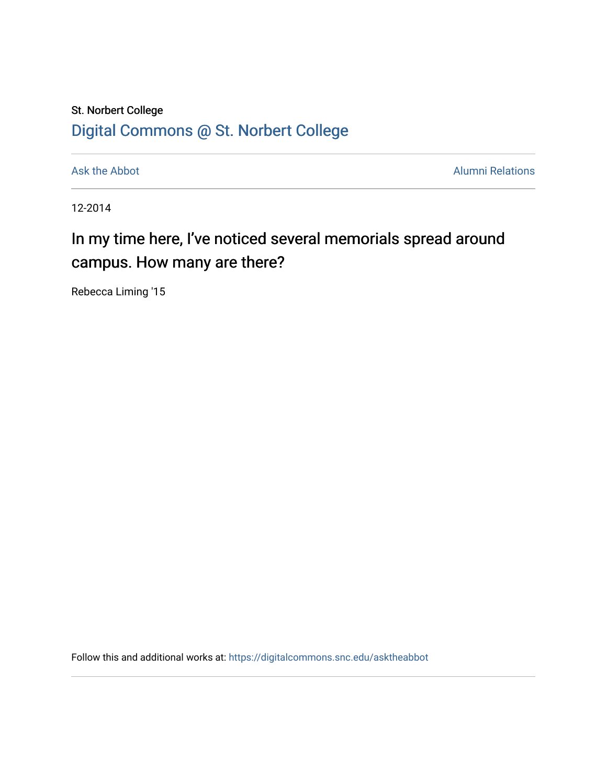## St. Norbert College [Digital Commons @ St. Norbert College](https://digitalcommons.snc.edu/)

[Ask the Abbot](https://digitalcommons.snc.edu/asktheabbot) **Alumni Relations** Ask the Abbot **Alumni Relations** 

12-2014

## In my time here, I've noticed several memorials spread around campus. How many are there?

Rebecca Liming '15

Follow this and additional works at: [https://digitalcommons.snc.edu/asktheabbot](https://digitalcommons.snc.edu/asktheabbot?utm_source=digitalcommons.snc.edu%2Fasktheabbot%2F78&utm_medium=PDF&utm_campaign=PDFCoverPages)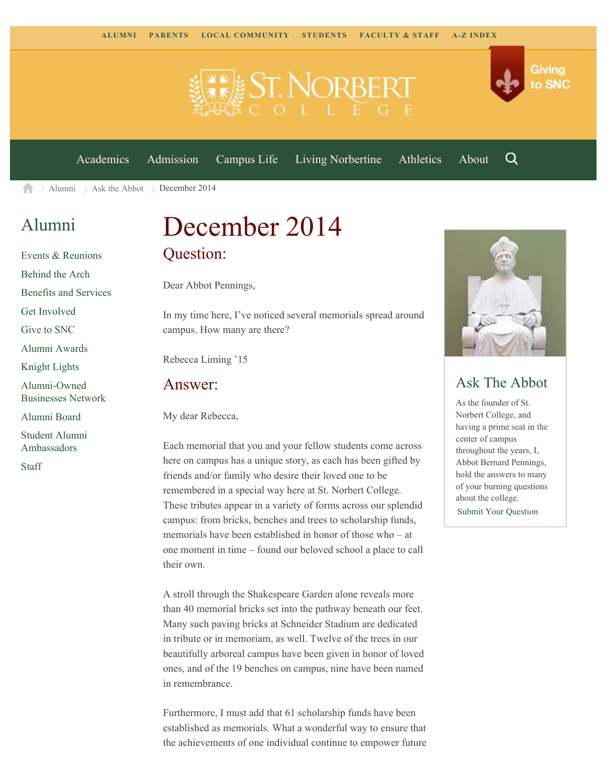

[Academics](https://www.snc.edu/academics) [Admission](https://www.snc.edu/admission) [Campus Life](https://www.snc.edu/campuslife) [Living Norbertine](https://www.snc.edu/livingnorbertine) [Athletics](https://www.snc.edu/athletics) [About](https://www.snc.edu/about)

Q

Giving

to SNC

 $\geq$  [Alumni](https://www.snc.edu/alumni/)  $\geq$  [Ask the Abbot](https://www.snc.edu/alumni/abbot/)  $\geq$  December 2014 合

### [Alumni](https://www.snc.edu/alumni/index.html)

[Events & Reunions](https://www.snc.edu/alumni/event/index.html) [Behind the Arch](https://www.snc.edu/alumni/event/behindthearch/) [Benefits and Services](https://www.snc.edu/alumni/benefits.html) [Get Involved](https://www.snc.edu/alumni/getinvolved.html) [Give to SNC](http://giving.snc.edu/) [Alumni Awards](https://www.snc.edu/alumni/awards/index.html) [Knight Lights](https://www.snc.edu/alumni/knightlights/index.html) [Alumni-Owned](https://www.snc.edu/alumni/directory/index.html) [Businesses Network](https://www.snc.edu/alumni/directory/index.html) [Alumni Board](https://www.snc.edu/alumni/alumniboard.html) [Student Alumni](https://www.snc.edu/alumni/saa.html) [Ambassadors](https://www.snc.edu/alumni/saa.html) [Staff](https://www.snc.edu/alumni/contactus.html)

# December 2014 Question:

Dear Abbot Pennings,

In my time here, I've noticed several memorials spread around campus. How many are there?

Rebecca Liming '15

#### Answer:

My dear Rebecca,

Each memorial that you and your fellow students come across here on campus has a unique story, as each has been gifted by friends and/or family who desire their loved one to be remembered in a special way here at St. Norbert College. These tributes appear in a variety of forms across our splendid campus: from bricks, benches and trees to scholarship funds, memorials have been established in honor of those who – at one moment in time – found our beloved school a place to call their own.

A stroll through the Shakespeare Garden alone reveals more than 40 memorial bricks set into the pathway beneath our feet. Many such paving bricks at Schneider Stadium are dedicated in tribute or in memoriam, as well. Twelve of the trees in our beautifully arboreal campus have been given in honor of loved ones, and of the 19 benches on campus, nine have been named in remembrance.

Furthermore, I must add that 61 scholarship funds have been established as memorials. What a wonderful way to ensure that the achievements of one individual continue to empower future



#### Ask The Abbot

As the founder of St. Norbert College, and having a prime seat in the center of campus throughout the years, I, Abbot Bernard Pennings, hold the answers to many of your burning questions about the college.

[Submit Your Question](https://www.snc.edu/alumni/abbot/index.html)